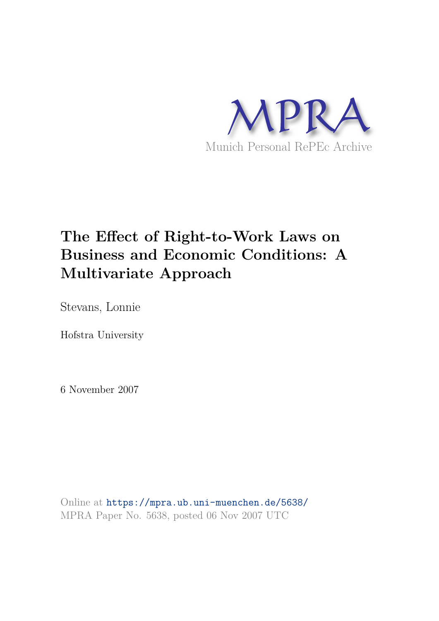

# **The Effect of Right-to-Work Laws on Business and Economic Conditions: A Multivariate Approach**

Stevans, Lonnie

Hofstra University

6 November 2007

Online at https://mpra.ub.uni-muenchen.de/5638/ MPRA Paper No. 5638, posted 06 Nov 2007 UTC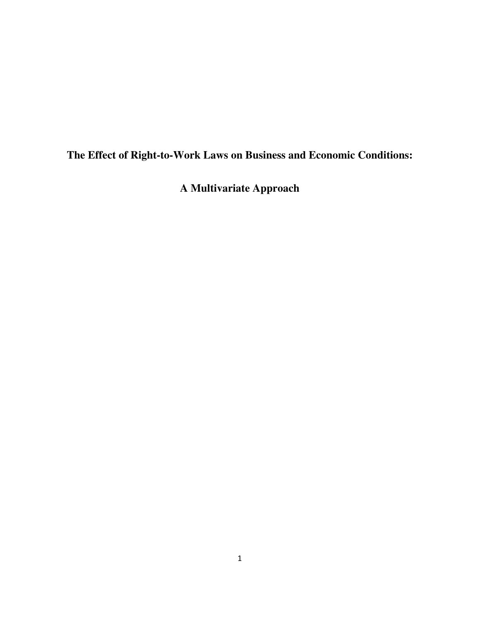**The Effect of Right-to-Work Laws on Business and Economic Conditions:** 

**A Multivariate Approach**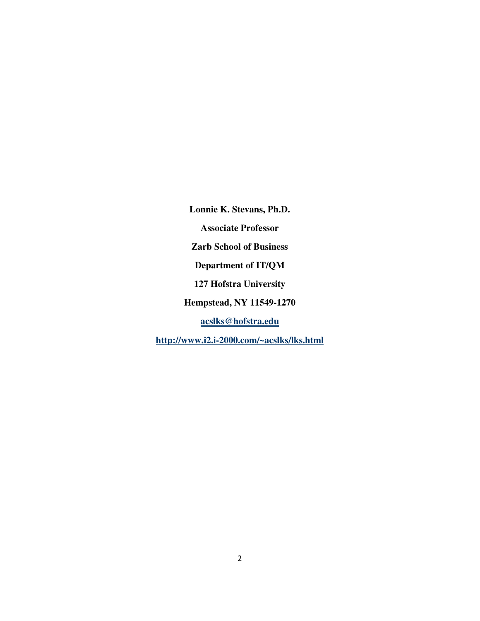**Lonnie K. Stevans, Ph.D. Associate Professor Zarb School of Business Department of IT/QM 127 Hofstra University Hempstead, NY 11549-1270 acslks@hofstra.edu**

**http://www.i2.i-2000.com/~acslks/lks.html**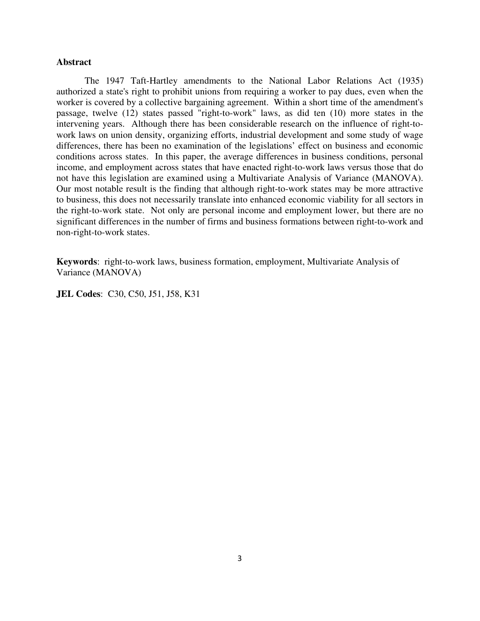### **Abstract**

The 1947 Taft-Hartley amendments to the National Labor Relations Act (1935) authorized a state's right to prohibit unions from requiring a worker to pay dues, even when the worker is covered by a collective bargaining agreement. Within a short time of the amendment's passage, twelve (12) states passed "right-to-work" laws, as did ten (10) more states in the intervening years. Although there has been considerable research on the influence of right-towork laws on union density, organizing efforts, industrial development and some study of wage differences, there has been no examination of the legislations' effect on business and economic conditions across states. In this paper, the average differences in business conditions, personal income, and employment across states that have enacted right-to-work laws versus those that do not have this legislation are examined using a Multivariate Analysis of Variance (MANOVA). Our most notable result is the finding that although right-to-work states may be more attractive to business, this does not necessarily translate into enhanced economic viability for all sectors in the right-to-work state. Not only are personal income and employment lower, but there are no significant differences in the number of firms and business formations between right-to-work and non-right-to-work states.

**Keywords**: right-to-work laws, business formation, employment, Multivariate Analysis of Variance (MANOVA)

**JEL Codes**: C30, C50, J51, J58, K31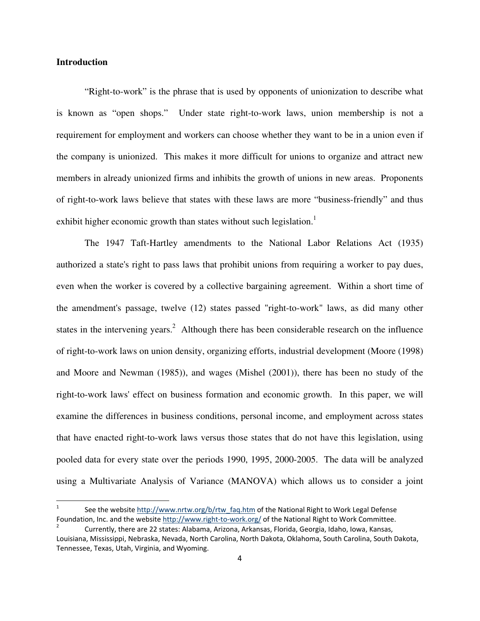# **Introduction**

 "Right-to-work" is the phrase that is used by opponents of unionization to describe what is known as "open shops." Under state right-to-work laws, union membership is not a requirement for employment and workers can choose whether they want to be in a union even if the company is unionized. This makes it more difficult for unions to organize and attract new members in already unionized firms and inhibits the growth of unions in new areas. Proponents of right-to-work laws believe that states with these laws are more "business-friendly" and thus exhibit higher economic growth than states without such legislation.<sup>1</sup>

 The 1947 Taft-Hartley amendments to the National Labor Relations Act (1935) authorized a state's right to pass laws that prohibit unions from requiring a worker to pay dues, even when the worker is covered by a collective bargaining agreement. Within a short time of the amendment's passage, twelve (12) states passed "right-to-work" laws, as did many other states in the intervening years.<sup>2</sup> Although there has been considerable research on the influence of right-to-work laws on union density, organizing efforts, industrial development (Moore (1998) and Moore and Newman (1985)), and wages (Mishel (2001)), there has been no study of the right-to-work laws' effect on business formation and economic growth. In this paper, we will examine the differences in business conditions, personal income, and employment across states that have enacted right-to-work laws versus those states that do not have this legislation, using pooled data for every state over the periods 1990, 1995, 2000-2005. The data will be analyzed using a Multivariate Analysis of Variance (MANOVA) which allows us to consider a joint

<sup>1</sup> See the website http://www.nrtw.org/b/rtw\_faq.htm of the National Right to Work Legal Defense Foundation, Inc. and the website http://www.right‐to‐work.org/ of the National Right to Work Committee.

<sup>2</sup> Currently, there are 22 states: Alabama, Arizona, Arkansas, Florida, Georgia, Idaho, Iowa, Kansas, Louisiana, Mississippi, Nebraska, Nevada, North Carolina, North Dakota, Oklahoma, South Carolina, South Dakota, Tennessee, Texas, Utah, Virginia, and Wyoming.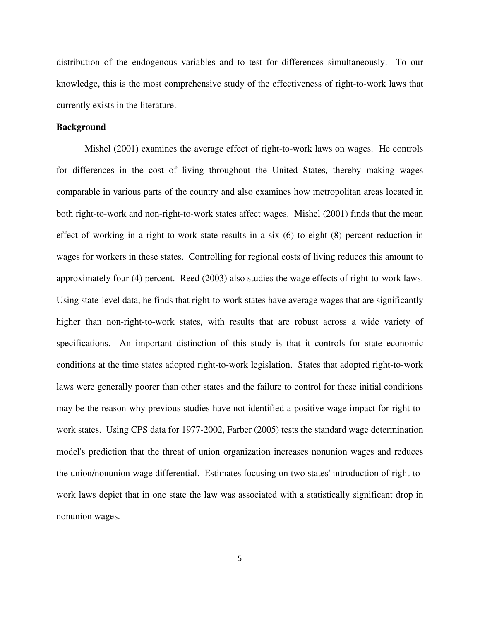distribution of the endogenous variables and to test for differences simultaneously. To our knowledge, this is the most comprehensive study of the effectiveness of right-to-work laws that currently exists in the literature.

### **Background**

Mishel (2001) examines the average effect of right-to-work laws on wages. He controls for differences in the cost of living throughout the United States, thereby making wages comparable in various parts of the country and also examines how metropolitan areas located in both right-to-work and non-right-to-work states affect wages. Mishel (2001) finds that the mean effect of working in a right-to-work state results in a six (6) to eight (8) percent reduction in wages for workers in these states. Controlling for regional costs of living reduces this amount to approximately four (4) percent. Reed (2003) also studies the wage effects of right-to-work laws. Using state-level data, he finds that right-to-work states have average wages that are significantly higher than non-right-to-work states, with results that are robust across a wide variety of specifications. An important distinction of this study is that it controls for state economic conditions at the time states adopted right-to-work legislation. States that adopted right-to-work laws were generally poorer than other states and the failure to control for these initial conditions may be the reason why previous studies have not identified a positive wage impact for right-towork states. Using CPS data for 1977-2002, Farber (2005) tests the standard wage determination model's prediction that the threat of union organization increases nonunion wages and reduces the union/nonunion wage differential. Estimates focusing on two states' introduction of right-towork laws depict that in one state the law was associated with a statistically significant drop in nonunion wages.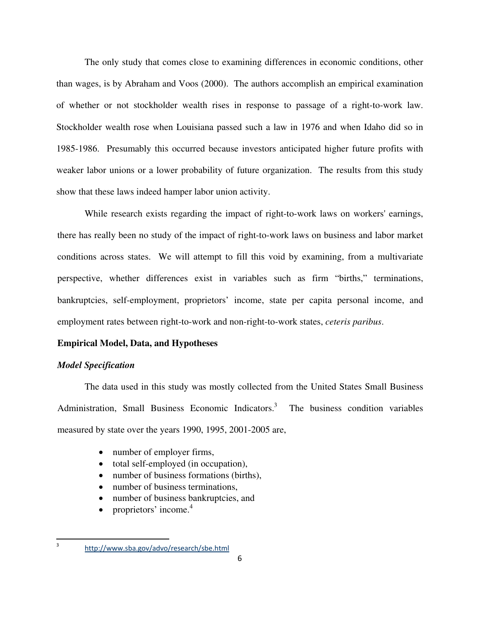The only study that comes close to examining differences in economic conditions, other than wages, is by Abraham and Voos (2000). The authors accomplish an empirical examination of whether or not stockholder wealth rises in response to passage of a right-to-work law. Stockholder wealth rose when Louisiana passed such a law in 1976 and when Idaho did so in 1985-1986. Presumably this occurred because investors anticipated higher future profits with weaker labor unions or a lower probability of future organization. The results from this study show that these laws indeed hamper labor union activity.

 While research exists regarding the impact of right-to-work laws on workers' earnings, there has really been no study of the impact of right-to-work laws on business and labor market conditions across states. We will attempt to fill this void by examining, from a multivariate perspective, whether differences exist in variables such as firm "births," terminations, bankruptcies, self-employment, proprietors' income, state per capita personal income, and employment rates between right-to-work and non-right-to-work states, *ceteris paribus*.

#### **Empirical Model, Data, and Hypotheses**

### *Model Specification*

The data used in this study was mostly collected from the United States Small Business Administration, Small Business Economic Indicators.<sup>3</sup> The business condition variables measured by state over the years 1990, 1995, 2001-2005 are,

- number of employer firms,
- total self-employed (in occupation),
- number of business formations (births),
- number of business terminations,
- number of business bankruptcies, and
- proprietors' income. $4$

 http://www.sba.gov/advo/research/sbe.html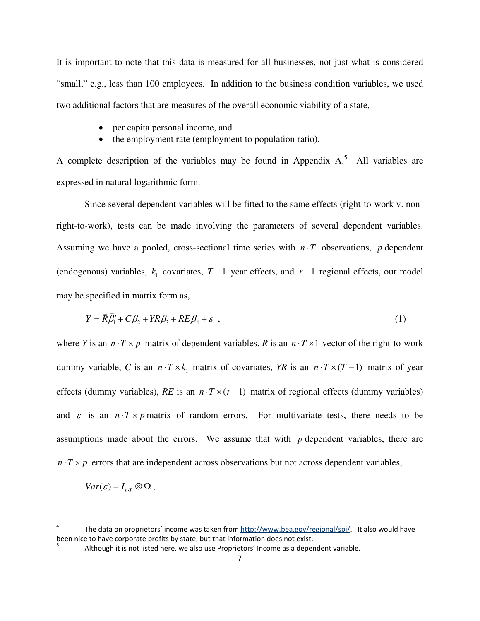It is important to note that this data is measured for all businesses, not just what is considered "small," e.g., less than 100 employees. In addition to the business condition variables, we used two additional factors that are measures of the overall economic viability of a state,

- per capita personal income, and
- the employment rate (employment to population ratio).

A complete description of the variables may be found in Appendix  $A$ <sup>5</sup>. All variables are expressed in natural logarithmic form.

 Since several dependent variables will be fitted to the same effects (right-to-work v. nonright-to-work), tests can be made involving the parameters of several dependent variables. Assuming we have a pooled, cross-sectional time series with *n*⋅*T* observations, *p* dependent (endogenous) variables,  $k_1$  covariates,  $T-1$  year effects, and  $r-1$  regional effects, our model may be specified in matrix form as,

$$
Y = \overrightarrow{R}\overrightarrow{\beta}'_1 + C\beta_2 + YR\beta_3 + RE\beta_4 + \varepsilon \tag{1}
$$

where *Y* is an  $n \cdot T \times p$  matrix of dependent variables, *R* is an  $n \cdot T \times 1$  vector of the right-to-work dummy variable, *C* is an  $n \cdot T \times k_1$  matrix of covariates, *YR* is an  $n \cdot T \times (T-1)$  matrix of year effects (dummy variables), *RE* is an  $n \cdot T \times (r-1)$  matrix of regional effects (dummy variables) and  $\varepsilon$  is an  $n \cdot T \times p$  matrix of random errors. For multivariate tests, there needs to be assumptions made about the errors. We assume that with *p* dependent variables, there are  $n \cdot T \times p$  errors that are independent across observations but not across dependent variables,

$$
Var(\varepsilon)=I_{nT}\otimes\Omega\,,
$$

<u> 1989 - Andrea Santa Andrea Andrea Andrea Andrea Andrea Andrea Andrea Andrea Andrea Andrea Andrea Andrea Andr</u>

<sup>4</sup> The data on proprietors' income was taken from http://www.bea.gov/regional/spi/. It also would have been nice to have corporate profits by state, but that information does not exist. 5

 Although it is not listed here, we also use Proprietors' Income as a dependent variable.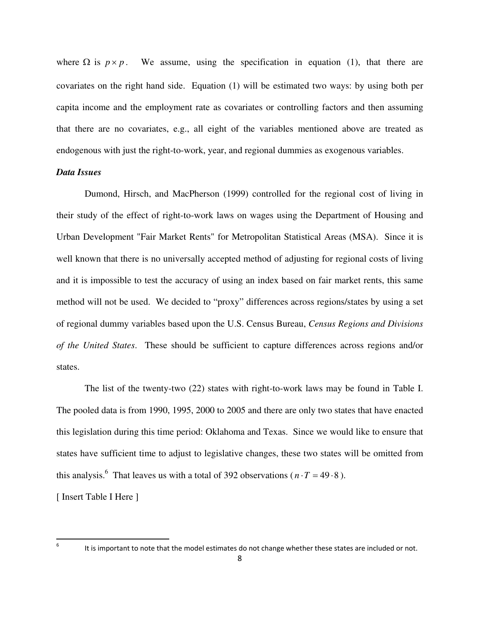where  $\Omega$  is  $p \times p$ . We assume, using the specification in equation (1), that there are covariates on the right hand side. Equation (1) will be estimated two ways: by using both per capita income and the employment rate as covariates or controlling factors and then assuming that there are no covariates, e.g., all eight of the variables mentioned above are treated as endogenous with just the right-to-work, year, and regional dummies as exogenous variables.

# *Data Issues*

 Dumond, Hirsch, and MacPherson (1999) controlled for the regional cost of living in their study of the effect of right-to-work laws on wages using the Department of Housing and Urban Development "Fair Market Rents" for Metropolitan Statistical Areas (MSA). Since it is well known that there is no universally accepted method of adjusting for regional costs of living and it is impossible to test the accuracy of using an index based on fair market rents, this same method will not be used. We decided to "proxy" differences across regions/states by using a set of regional dummy variables based upon the U.S. Census Bureau, *Census Regions and Divisions of the United States*. These should be sufficient to capture differences across regions and/or states.

 The list of the twenty-two (22) states with right-to-work laws may be found in Table I. The pooled data is from 1990, 1995, 2000 to 2005 and there are only two states that have enacted this legislation during this time period: Oklahoma and Texas. Since we would like to ensure that states have sufficient time to adjust to legislative changes, these two states will be omitted from this analysis.<sup>6</sup> That leaves us with a total of 392 observations ( $n \cdot T = 49 \cdot 8$ ).

[ Insert Table I Here ]

<sup>6</sup>

 It is important to note that the model estimates do not change whether these states are included or not.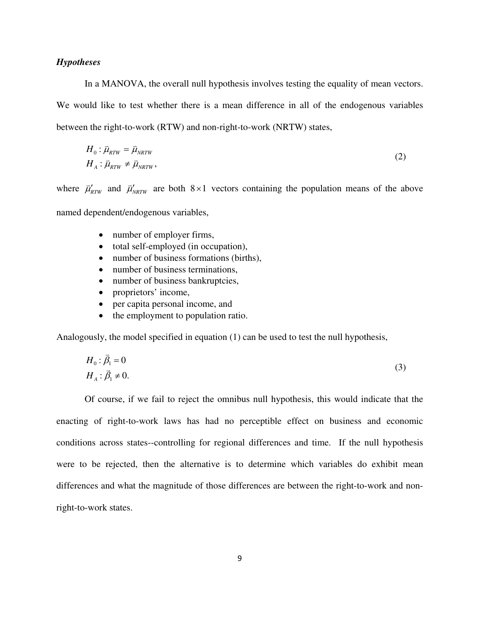# *Hypotheses*

 In a MANOVA, the overall null hypothesis involves testing the equality of mean vectors. We would like to test whether there is a mean difference in all of the endogenous variables between the right-to-work (RTW) and non-right-to-work (NRTW) states,

$$
H_0: \vec{\mu}_{RTW} = \vec{\mu}_{NRTW}
$$
  
\n
$$
H_A: \vec{\mu}_{RTW} \neq \vec{\mu}_{NRTW},
$$
\n(2)

where  $\vec{\mu}'_{RTW}$  and  $\vec{\mu}'_{NRTW}$  are both 8 × 1 vectors containing the population means of the above named dependent/endogenous variables,

- number of employer firms,
- total self-employed (in occupation),
- number of business formations (births),
- number of business terminations,
- number of business bankruptcies,
- proprietors' income,
- per capita personal income, and
- the employment to population ratio.

Analogously, the model specified in equation (1) can be used to test the null hypothesis,

$$
H_0: \vec{\beta}_1 = 0
$$
  
\n
$$
H_A: \vec{\beta}_1 \neq 0.
$$
\n(3)

 Of course, if we fail to reject the omnibus null hypothesis, this would indicate that the enacting of right-to-work laws has had no perceptible effect on business and economic conditions across states--controlling for regional differences and time. If the null hypothesis were to be rejected, then the alternative is to determine which variables do exhibit mean differences and what the magnitude of those differences are between the right-to-work and nonright-to-work states.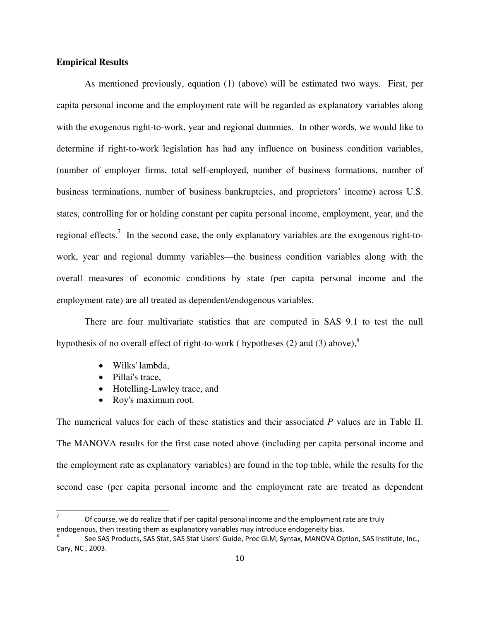# **Empirical Results**

As mentioned previously, equation (1) (above) will be estimated two ways. First, per capita personal income and the employment rate will be regarded as explanatory variables along with the exogenous right-to-work, year and regional dummies. In other words, we would like to determine if right-to-work legislation has had any influence on business condition variables, (number of employer firms, total self-employed, number of business formations, number of business terminations, number of business bankruptcies, and proprietors' income) across U.S. states, controlling for or holding constant per capita personal income, employment, year, and the regional effects.<sup>7</sup> In the second case, the only explanatory variables are the exogenous right-towork, year and regional dummy variables—the business condition variables along with the overall measures of economic conditions by state (per capita personal income and the employment rate) are all treated as dependent/endogenous variables.

 There are four multivariate statistics that are computed in SAS 9.1 to test the null hypothesis of no overall effect of right-to-work ( hypotheses (2) and (3) above), $8$ 

- Wilks' lambda,
- Pillai's trace,

- Hotelling-Lawley trace, and
- Roy's maximum root.

The numerical values for each of these statistics and their associated *P* values are in Table II. The MANOVA results for the first case noted above (including per capita personal income and the employment rate as explanatory variables) are found in the top table, while the results for the second case (per capita personal income and the employment rate are treated as dependent

<sup>7</sup> Of course, we do realize that if per capital personal income and the employment rate are truly endogenous, then treating them as explanatory variables may introduce endogeneity bias.

<sup>8</sup> See SAS Products, SAS Stat, SAS Stat Users' Guide, Proc GLM, Syntax, MANOVA Option, SAS Institute, Inc., Cary, NC , 2003.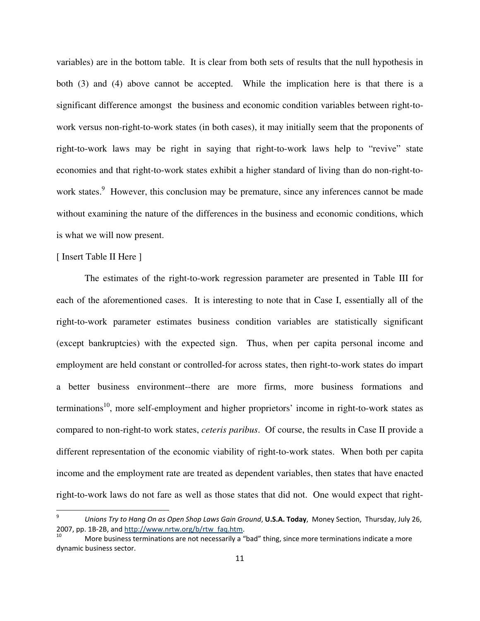variables) are in the bottom table. It is clear from both sets of results that the null hypothesis in both (3) and (4) above cannot be accepted. While the implication here is that there is a significant difference amongst the business and economic condition variables between right-towork versus non-right-to-work states (in both cases), it may initially seem that the proponents of right-to-work laws may be right in saying that right-to-work laws help to "revive" state economies and that right-to-work states exhibit a higher standard of living than do non-right-towork states.<sup>9</sup> However, this conclusion may be premature, since any inferences cannot be made without examining the nature of the differences in the business and economic conditions, which is what we will now present.

### [ Insert Table II Here ]

 The estimates of the right-to-work regression parameter are presented in Table III for each of the aforementioned cases. It is interesting to note that in Case I, essentially all of the right-to-work parameter estimates business condition variables are statistically significant (except bankruptcies) with the expected sign. Thus, when per capita personal income and employment are held constant or controlled-for across states, then right-to-work states do impart a better business environment--there are more firms, more business formations and terminations<sup>10</sup>, more self-employment and higher proprietors' income in right-to-work states as compared to non-right-to work states, *ceteris paribus*. Of course, the results in Case II provide a different representation of the economic viability of right-to-work states. When both per capita income and the employment rate are treated as dependent variables, then states that have enacted right-to-work laws do not fare as well as those states that did not. One would expect that right-

<sup>9</sup> *Unions Try to Hang On as Open Shop Laws Gain Ground*, **U.S.A. Today**, Money Section, Thursday, July 26, 2007, pp. 1B‐2B, and http://www.nrtw.org/b/rtw\_faq.htm.

<sup>10</sup> More business terminations are not necessarily a "bad" thing, since more terminations indicate a more dynamic business sector.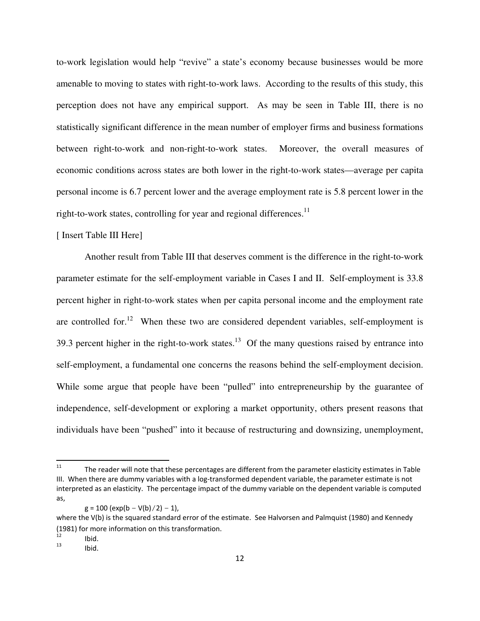to-work legislation would help "revive" a state's economy because businesses would be more amenable to moving to states with right-to-work laws. According to the results of this study, this perception does not have any empirical support. As may be seen in Table III, there is no statistically significant difference in the mean number of employer firms and business formations between right-to-work and non-right-to-work states. Moreover, the overall measures of economic conditions across states are both lower in the right-to-work states—average per capita personal income is 6.7 percent lower and the average employment rate is 5.8 percent lower in the right-to-work states, controlling for year and regional differences.<sup>11</sup>

# [ Insert Table III Here]

 Another result from Table III that deserves comment is the difference in the right-to-work parameter estimate for the self-employment variable in Cases I and II. Self-employment is 33.8 percent higher in right-to-work states when per capita personal income and the employment rate are controlled for.<sup>12</sup> When these two are considered dependent variables, self-employment is 39.3 percent higher in the right-to-work states.<sup>13</sup> Of the many questions raised by entrance into self-employment, a fundamental one concerns the reasons behind the self-employment decision. While some argue that people have been "pulled" into entrepreneurship by the guarantee of independence, self-development or exploring a market opportunity, others present reasons that individuals have been "pushed" into it because of restructuring and downsizing, unemployment,

<sup>11</sup> The reader will note that these percentages are different from the parameter elasticity estimates in Table III. When there are dummy variables with a log‐transformed dependent variable, the parameter estimate is not interpreted as an elasticity. The percentage impact of the dummy variable on the dependent variable is computed as,

 $g = 100 (exp(b - V(b)/2) - 1),$ 

where the V(b) is the squared standard error of the estimate. See Halvorsen and Palmquist (1980) and Kennedy (1981) for more information on this transformation.

<sup>12</sup> Ibid.

<sup>13</sup> Ibid.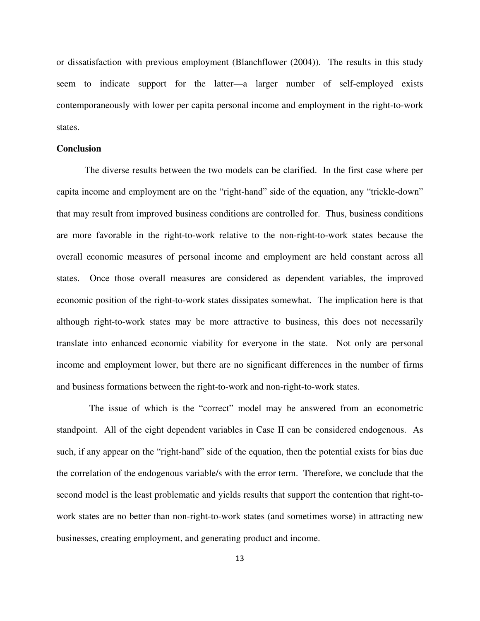or dissatisfaction with previous employment (Blanchflower (2004)). The results in this study seem to indicate support for the latter—a larger number of self-employed exists contemporaneously with lower per capita personal income and employment in the right-to-work states.

### **Conclusion**

 The diverse results between the two models can be clarified. In the first case where per capita income and employment are on the "right-hand" side of the equation, any "trickle-down" that may result from improved business conditions are controlled for. Thus, business conditions are more favorable in the right-to-work relative to the non-right-to-work states because the overall economic measures of personal income and employment are held constant across all states. Once those overall measures are considered as dependent variables, the improved economic position of the right-to-work states dissipates somewhat. The implication here is that although right-to-work states may be more attractive to business, this does not necessarily translate into enhanced economic viability for everyone in the state. Not only are personal income and employment lower, but there are no significant differences in the number of firms and business formations between the right-to-work and non-right-to-work states.

 The issue of which is the "correct" model may be answered from an econometric standpoint. All of the eight dependent variables in Case II can be considered endogenous. As such, if any appear on the "right-hand" side of the equation, then the potential exists for bias due the correlation of the endogenous variable/s with the error term. Therefore, we conclude that the second model is the least problematic and yields results that support the contention that right-towork states are no better than non-right-to-work states (and sometimes worse) in attracting new businesses, creating employment, and generating product and income.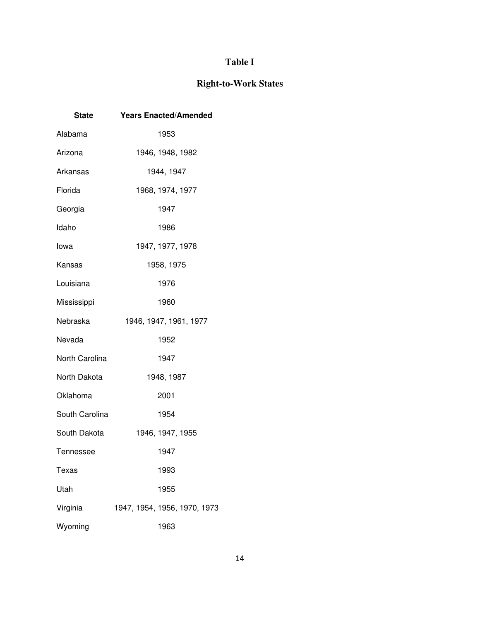# **Table I**

# **Right-to-Work States**

| <b>State</b>   | <b>Years Enacted/Amended</b> |
|----------------|------------------------------|
| Alabama        | 1953                         |
| Arizona        | 1946, 1948, 1982             |
| Arkansas       | 1944, 1947                   |
| Florida        | 1968, 1974, 1977             |
| Georgia        | 1947                         |
| Idaho          | 1986                         |
| lowa           | 1947, 1977, 1978             |
| Kansas         | 1958, 1975                   |
| Louisiana      | 1976                         |
| Mississippi    | 1960                         |
| Nebraska       | 1946, 1947, 1961, 1977       |
| Nevada         | 1952                         |
| North Carolina | 1947                         |
| North Dakota   | 1948, 1987                   |
| Oklahoma       | 2001                         |
| South Carolina | 1954                         |
| South Dakota   | 1946, 1947, 1955             |
| Tennessee      | 1947                         |
| Texas          | 1993                         |
| Utah           | 1955                         |
| Virginia       | 1947, 1954, 1956, 1970, 1973 |
| Wyoming        | 1963                         |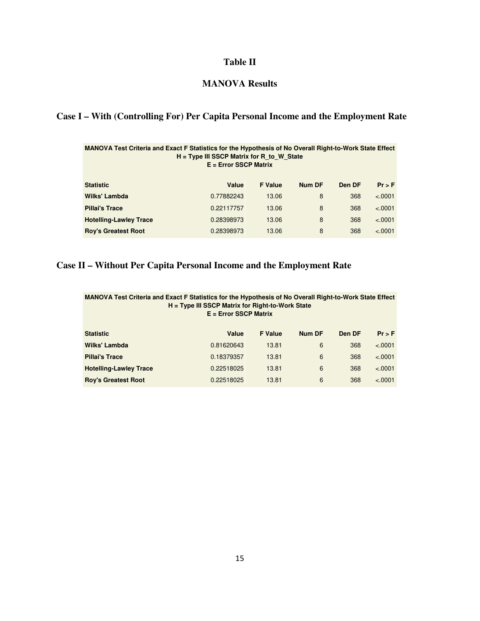# **Table II**

# **MANOVA Results**

# **Case I – With (Controlling For) Per Capita Personal Income and the Employment Rate**

| MANOVA Test Criteria and Exact F Statistics for the Hypothesis of No Overall Right-to-Work State Effect<br>$H = Type III$ SSCP Matrix for R to W State<br>$E =$ Error SSCP Matrix |            |                |               |        |          |  |  |
|-----------------------------------------------------------------------------------------------------------------------------------------------------------------------------------|------------|----------------|---------------|--------|----------|--|--|
| <b>Statistic</b>                                                                                                                                                                  | Value      | <b>F</b> Value | <b>Num DF</b> | Den DF | $Pr$ > F |  |  |
| Wilks' Lambda                                                                                                                                                                     | 0.77882243 | 13.06          | 8             | 368    | < .0001  |  |  |
| <b>Pillai's Trace</b>                                                                                                                                                             | 0.22117757 | 13.06          | 8             | 368    | < .0001  |  |  |
| <b>Hotelling-Lawley Trace</b>                                                                                                                                                     | 0.28398973 | 13.06          | 8             | 368    | < .0001  |  |  |
| <b>Roy's Greatest Root</b>                                                                                                                                                        | 0.28398973 | 13.06          | 8             | 368    | $-.0001$ |  |  |

# **Case II – Without Per Capita Personal Income and the Employment Rate**

**MANOVA Test Criteria and Exact F Statistics for the Hypothesis of No Overall Right-to-Work State Effect H = Type III SSCP Matrix for Right-to-Work State E = Error SSCP Matrix** 

| <b>Statistic</b>              | <b>Value</b> | <b>F</b> Value | <b>Num DF</b> | Den DF | $Pr$ > F |
|-------------------------------|--------------|----------------|---------------|--------|----------|
| Wilks' Lambda                 | 0.81620643   | 13.81          | 6             | 368    | < .0001  |
| <b>Pillai's Trace</b>         | 0.18379357   | 13.81          | 6             | 368    | < .0001  |
| <b>Hotelling-Lawley Trace</b> | 0.22518025   | 13.81          | 6             | 368    | < .0001  |
| <b>Roy's Greatest Root</b>    | 0.22518025   | 13.81          | 6             | 368    | < .0001  |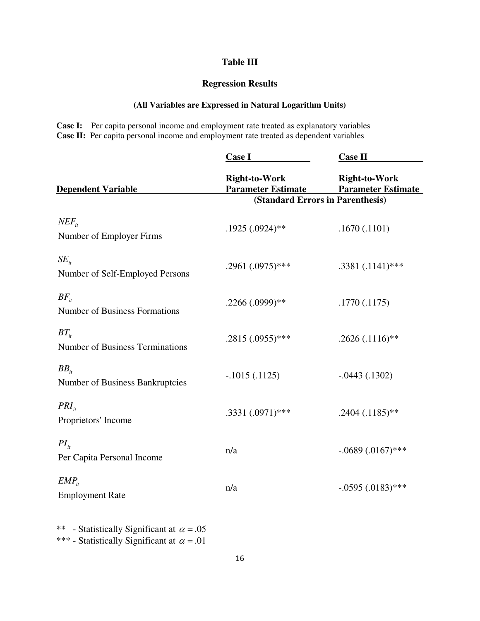# **Table III**

# **Regression Results**

# **(All Variables are Expressed in Natural Logarithm Units)**

**Case I:** Per capita personal income and employment rate treated as explanatory variables **Case II:** Per capita personal income and employment rate treated as dependent variables

|                                                     | <b>Case I</b>                                     | <b>Case II</b>                                    |  |
|-----------------------------------------------------|---------------------------------------------------|---------------------------------------------------|--|
| <b>Dependent Variable</b>                           | <b>Right-to-Work</b><br><b>Parameter Estimate</b> | <b>Right-to-Work</b><br><b>Parameter Estimate</b> |  |
|                                                     | (Standard Errors in Parenthesis)                  |                                                   |  |
| $NEF_{it}$<br>Number of Employer Firms              | $.1925(.0924)**$                                  | .1670(.1101)                                      |  |
| $SE_{it}$<br>Number of Self-Employed Persons        | $.2961(.0975)$ ***                                | $.3381(.1141)$ ***                                |  |
| $BF_{ii}$<br><b>Number of Business Formations</b>   | $.2266(.0999)**$                                  | .1770(.1175)                                      |  |
| $BT_{it}$<br><b>Number of Business Terminations</b> | $.2815(.0955)$ ***                                | $.2626(.1116)$ **                                 |  |
| $BB_{ii}$<br>Number of Business Bankruptcies        | $-.1015(.1125)$                                   | $-.0443(.1302)$                                   |  |
| $PRI_{it}$<br>Proprietors' Income                   | $.3331(.0971)$ ***                                | $.2404(.1185)$ **                                 |  |
| $PI_{ii}$<br>Per Capita Personal Income             | n/a                                               | $-.0689(.0167)$ ***                               |  |
| $EMP_{it}$<br><b>Employment Rate</b>                | n/a                                               | $-.0595(.0183)$ ***                               |  |
| ** - Statistically Significant at $\alpha = .05$    |                                                   |                                                   |  |

\*\*\* - Statistically Significant at  $\alpha = .01$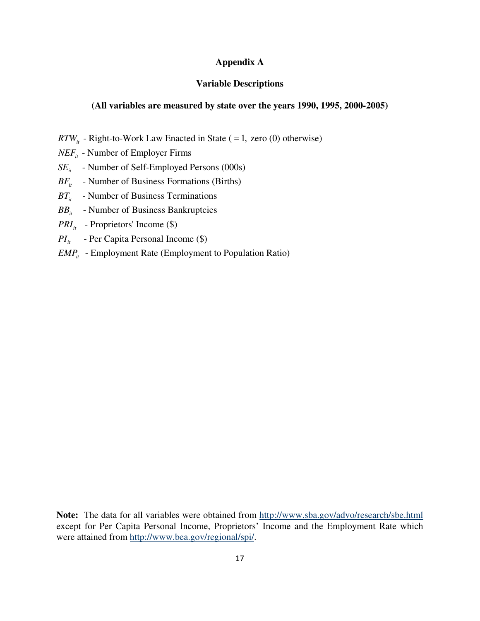# **Appendix A**

### **Variable Descriptions**

#### **(All variables are measured by state over the years 1990, 1995, 2000-2005)**

- *RTW*<sub>*it*</sub> Right-to-Work Law Enacted in State ( = 1, zero (0) otherwise)
- *NEF*<sub>*it*</sub> Number of Employer Firms
- SE<sub>*it*</sub> Number of Self-Employed Persons (000s)
- Number of Business Formations (Births)  $BF_{it}$
- $BT_{\text{it}}$  Number of Business Terminations
- Number of Business Bankruptcies  $BB_{it}$
- *PRI*<sub>*it*</sub> Proprietors' Income (\$)
- *PI*<sub>*it*</sub> Per Capita Personal Income (\$)
- *EMP*<sub>*it*</sub> Employment Rate (Employment to Population Ratio)

**Note:** The data for all variables were obtained from http://www.sba.gov/advo/research/sbe.html except for Per Capita Personal Income, Proprietors' Income and the Employment Rate which were attained from http://www.bea.gov/regional/spi/.